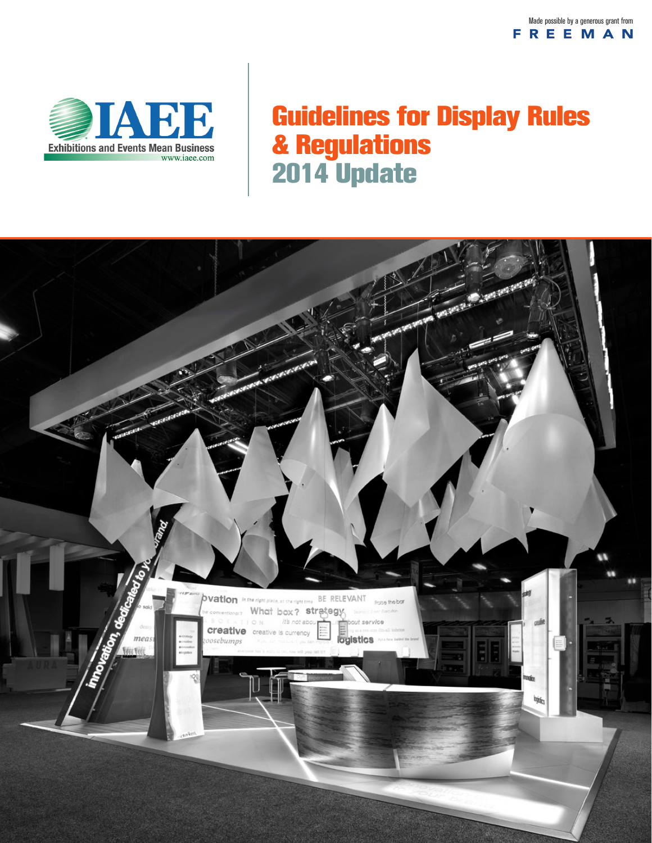

# Guidelines for Display Rules & Regulations 2014 Update

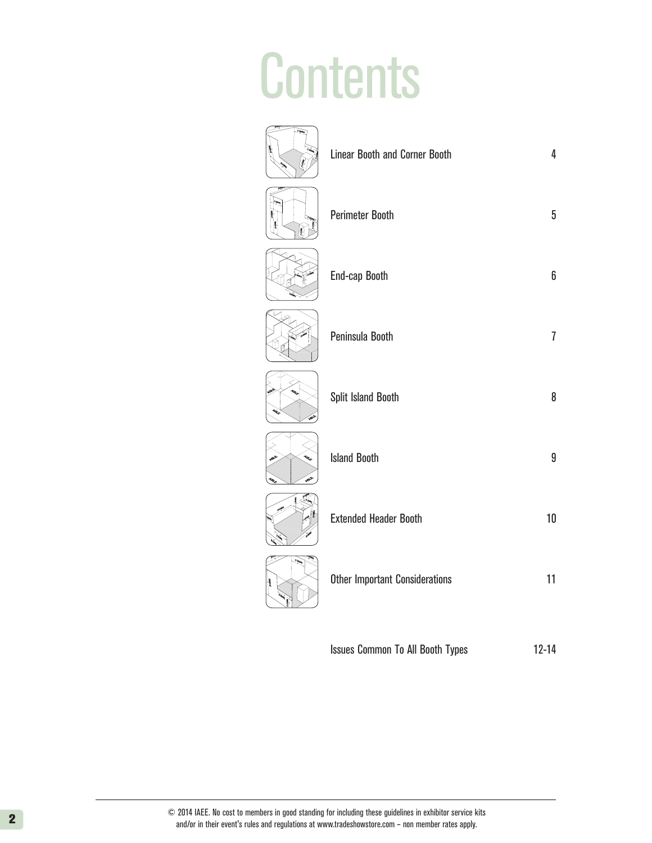### **Contents** (1.524M)  $\sim$

|      | <b>Linear Booth and Corner Booth</b>  | $\overline{4}$ |
|------|---------------------------------------|----------------|
|      | <b>Perimeter Booth</b>                | $\sqrt{5}$     |
|      | End-cap Booth                         | 6              |
|      | Peninsula Booth                       | $\overline{1}$ |
|      | Split Island Booth                    | 8              |
| حيجة | <b>Island Booth</b>                   | 9              |
|      | <b>Extended Header Booth</b>          | $10\,$         |
|      | <b>Other Important Considerations</b> | 11             |
|      |                                       |                |

Issues Common To All Booth Types 12-14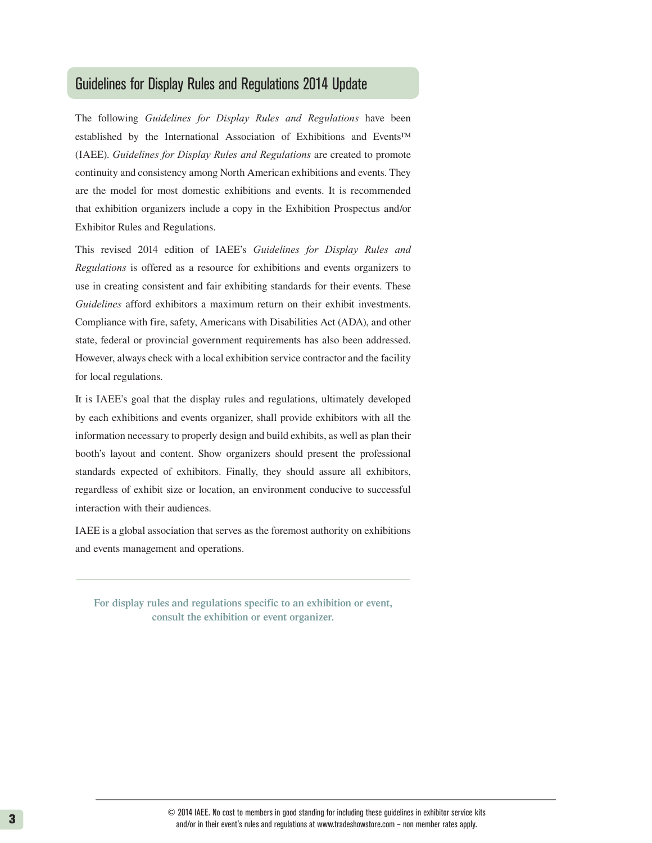### Guidelines for Display Rules and Regulations 2014 Update

The following *Guidelines for Display Rules and Regulations* have been established by the International Association of Exhibitions and Events™ (IAEE). *Guidelines for Display Rules and Regulations* are created to promote continuity and consistency among North American exhibitions and events. They are the model for most domestic exhibitions and events. It is recommended that exhibition organizers include a copy in the Exhibition Prospectus and/or Exhibitor Rules and Regulations.

This revised 2014 edition of IAEE's *Guidelines for Display Rules and Regulations* is offered as a resource for exhibitions and events organizers to use in creating consistent and fair exhibiting standards for their events. These *Guidelines* afford exhibitors a maximum return on their exhibit investments. Compliance with fire, safety, Americans with Disabilities Act (ADA), and other state, federal or provincial government requirements has also been addressed. However, always check with a local exhibition service contractor and the facility for local regulations.

It is IAEE's goal that the display rules and regulations, ultimately developed by each exhibitions and events organizer, shall provide exhibitors with all the information necessary to properly design and build exhibits, as well as plan their booth's layout and content. Show organizers should present the professional standards expected of exhibitors. Finally, they should assure all exhibitors, regardless of exhibit size or location, an environment conducive to successful interaction with their audiences.

IAEE is a global association that serves as the foremost authority on exhibitions and events management and operations.

**For display rules and regulations specific to an exhibition or event, consult the exhibition or event organizer.**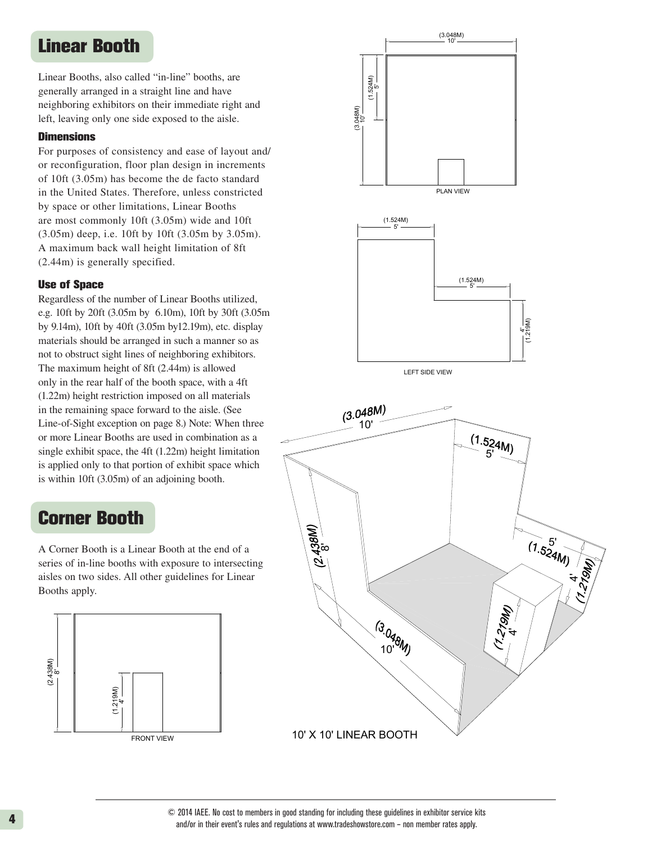### Linear Booth

Linear Booths, also called "in-line" booths, are generally arranged in a straight line and have neighboring exhibitors on their immediate right and left, leaving only one side exposed to the aisle.

#### **Dimensions**

are most commonly 10ft (3.05m) wide and 10ft  $(2.44m)$  is generally specified. For purposes of consistency and ease of layout and/ or reconfiguration, floor plan design in increments of 10ft (3.05m) has become the de facto standard in the United States. Therefore, unless constricted by space or other limitations, Linear Booths (3.05m) deep, i.e. 10ft by 10ft (3.05m by 3.05m). A maximum back wall height limitation of 8ft

#### Use of Space

Regardless of the number of Linear Booths utilized, 8' is applied only to that portion of exhibit space<br>is within 10ft (3.05m) of an adjoining booth. The maximum height of 8ft (2.44m) is allowed only in the rear half of the booth space, with a 4ft 5' or more Linear Booths are used in combination as a<br>single exhibit space, the 4ft (1.22m) beight limitation e.g. 10ft by 20ft (3.05m by 6.10m), 10ft by 30ft (3.05m by 9.14m), 10ft by 40ft (3.05m by12.19m), etc. display materials should be arranged in such a manner so as not to obstruct sight lines of neighboring exhibitors. (1.22m) height restriction imposed on all materials in the remaining space forward to the aisle. (See Line-of-Sight exception on page 8.) Note: When three single exhibit space, the 4ft (1.22m) height limitation is applied only to that portion of exhibit space which

### Corner Booth

Series of in-line booths with exposure to intersecting A Corner Booth is a Linear Booth at the end of a aisles on two sides. All other guidelines for Linear Booths apply.





10' X 10' LINEAR BOOTH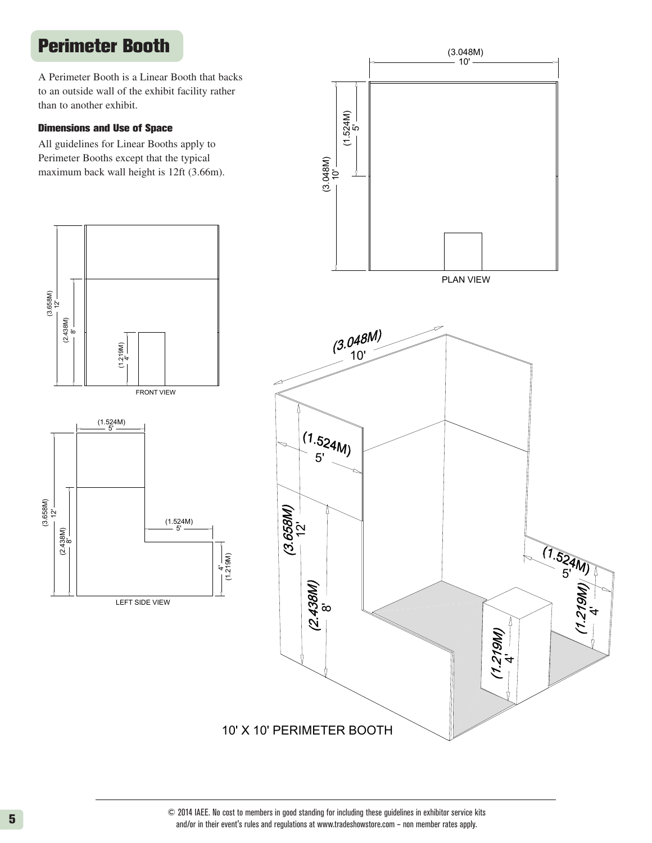## Perimeter Booth

A Perimeter Booth is a Linear Booth that backs<br>to an outside wall of the exhibit facility rather<br>than to another exhibit. )<br>) to an outside wall of the exhibit facility rather than to another exhibit.

#### n<br>. Dimensions and Use of Space

All guidelines for Linear Booths apply to Perimeter Booths except that the typical maximum back wall height is 12ft (3.66m).



 $\ddot{\phantom{0}}$ 

(1.524M)

ī۵

(1.524M)

(3.048M)

10'

10' X 10' PERIMETER BOOTH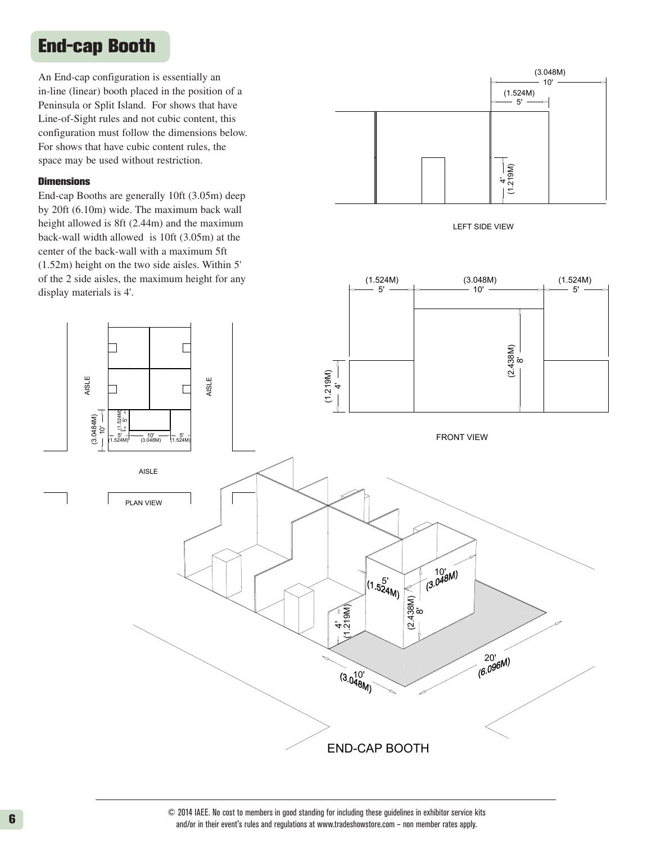### End-cap Booth

An End-cap configuration is essentially an in-line (linear) booth placed in the position of a Peninsula or Split Island. For shows that have Fennisula or Split Island. For shows that have<br>Line-of-Sight rules and not cubic content, this configuration must follow the dimensions below. For shows that have cubic content rules, the  $\frac{1}{2}$ space may be used without restriction. t re  $W$ 

#### **Dimensions**

ELSI A

. 4

<u>'</u>

)M4840.3(

ເດ

)M425.5

 $\sim$ 

End-cap Booths are generally 10ft (3.05m) deep by 20ft (6.10m) wide. The maximum back wall height allowed is 8ft (2.44m) and the maximum back-wall width allowed is 10ft (3.05m) at the center of the back-wall with a maximum 5ft (1.52m) height on the two side aisles. Within 5' of the 2 side aisles, the maximum height for any display materials is 4'.

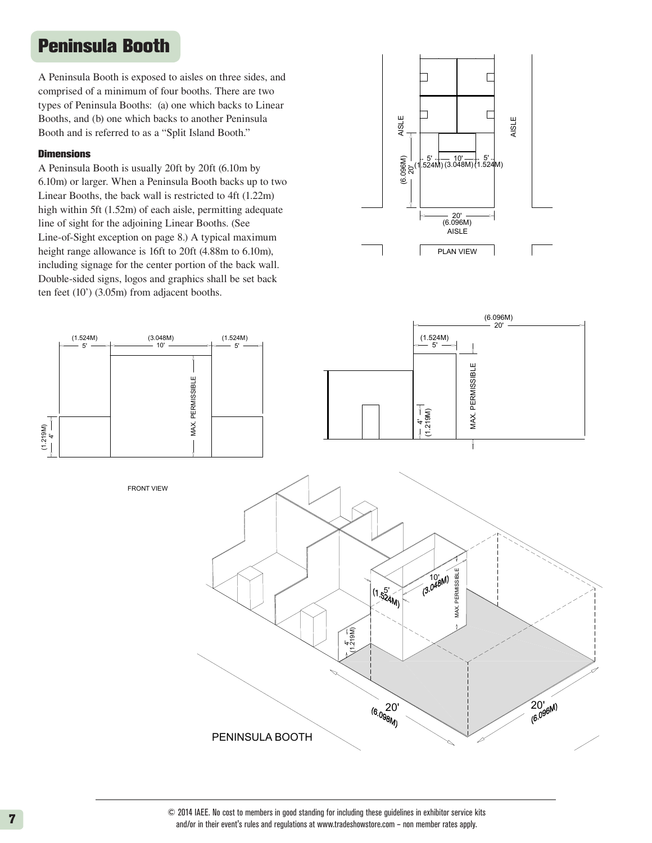### Peninsula Booth

A Peninsula Booth is exposed to aisles on three sides, and comprised of a minimum of four booths. There are two types of Peninsula Booths: (a) one which backs to Linear Booths, and (b) one which backs to another Peninsula Booth and is referred to as a "Split Island Booth."

#### **Dimensions**

Line-of-Sight exception on page 8.) A typical maximum<br>height range allowance is 16ft to 20ft (4.88m to 6.10m),  $\lambda$  Linear Booths, the back wall is restricted to 4ft (1.22m) ten feet  $(10^{\circ})$   $(3.05m)$  from adjacent booths. Double-sided signs, logos and graphics shall be set back line of sight for the adjoining Linear Booths. (See  $\frac{1}{2}$ Line-of-Sight exception on page 8.) A typical maximum A Peninsula Booth is usually 20ft by 20ft (6.10m by 6.10m) or larger. When a Peninsula Booth backs up to two high within 5ft (1.52m) of each aisle, permitting adequate including signage for the center portion of the back wall.



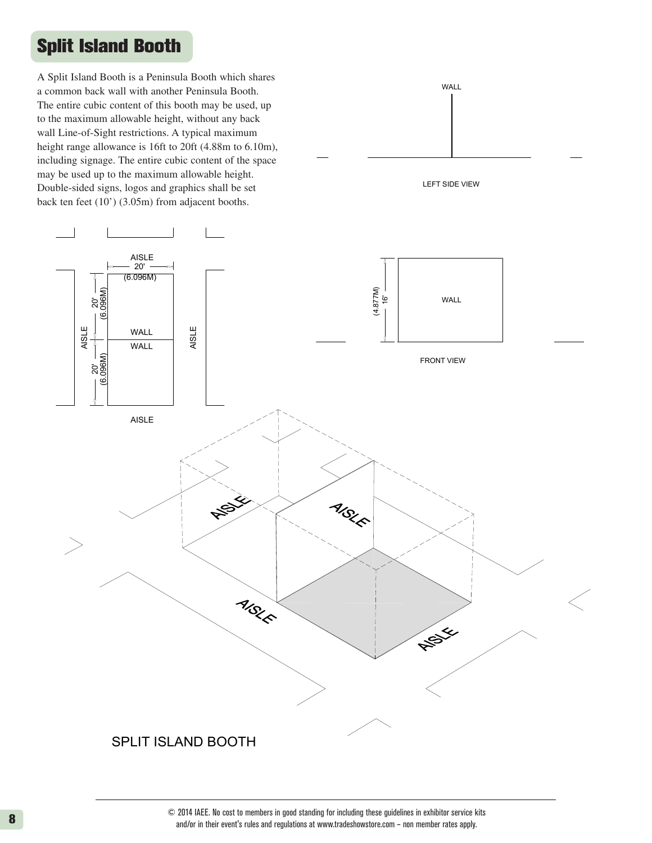## Split Island Booth

to the maximum allowable height, without any back wall Line-of-Sight restrictions. A typical maximum back ten feet  $(10')$   $(3.05m)$  from adjacent booths.  $^{\prime}$ including signage. The entire cubic content of the space A Split Island Booth is a Peninsula Booth which shares height range allowance is 16ft to 20ft  $(4.88 \text{ m to } 6.10 \text{ m})$ , a common back wall with another Peninsula Booth. The entire cubic content of this booth may be used, up may be used up to the maximum allowable height. Double-sided signs, logos and graphics shall be set

20'



### SPLIT ISLAND BOOTH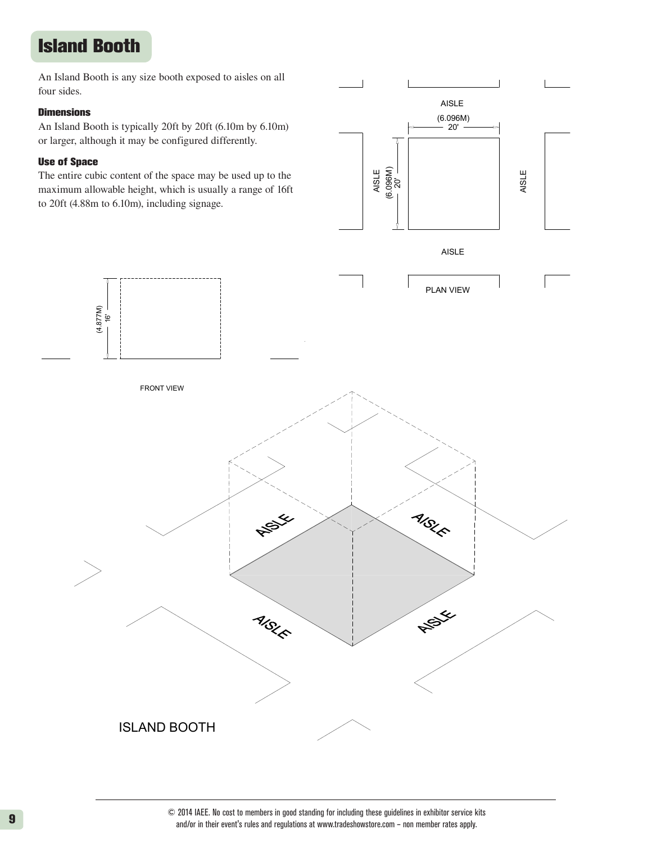## Island Booth

An Island Booth is any size booth exposed to aisles on all four sides.

#### **Dimensions**

or larger, although it may be configured differently.

#### Use of Space

(4.877M)

The entire cubic content of the space may be used up to the maximum allowable height, which is usually a range of 16ft to 20ft (4.88m to 6.10m), including signage.

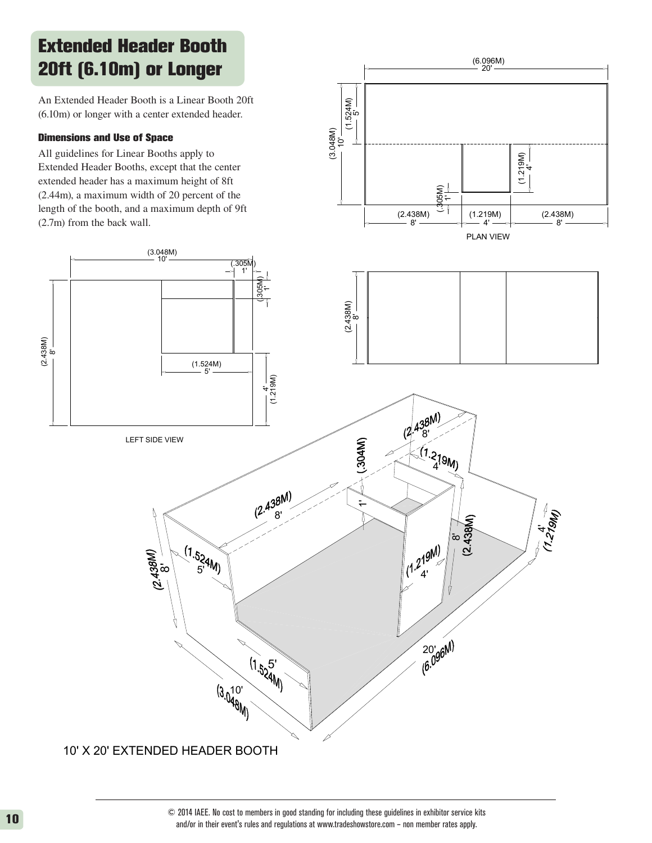## Extended Header Booth 20ft (6.10m) or Longer

An Extended Header Booth is a Linear Booth 20ft (6.10m) or longer with a center extended header.

#### Dimensions and Use of Space

 $\rm \ddot{\infty}$ 

(2.438M)

ith<br>se<br>Jine All guidelines for Linear Booths apply to Extended Header Booths, except that the center extended header has a maximum height of 8ft (2.44m), a maximum width of 20 percent of the length of the booth, and a maximum depth of 9ft (2.7m) from the back wall.



10' X 20' EXTENDED HEADER BOOTH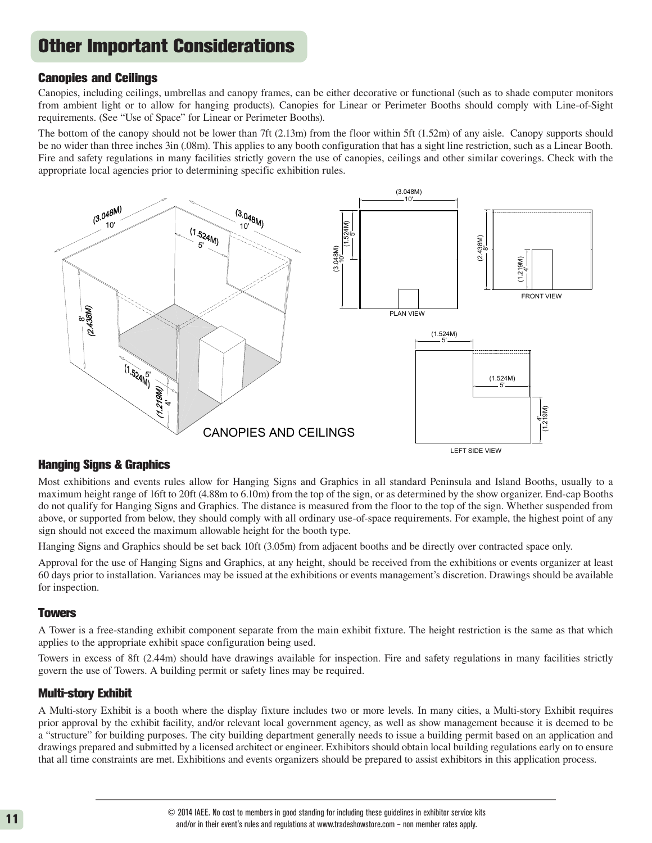## Other Important Considerations

#### Canopies and Ceilings

Canopies, including ceilings, umbrellas and canopy frames, can be either decorative or functional (such as to shade computer monitors 5' from ambient light or to allow for hanging products). Canopies for Linear or Perimeter Booths should comply with Line-of-Sight requirements. (See "Use of Space" for Linear or Perimeter Booths). requirements. (See "Use of Space" for Linear or Perimeter Booths).  $\overline{1}$ 

The bottom of the canopy should not be lower than 7ft (2.13m) from the floor within 5ft (1.52m) of any aisle. Canopy supports should be no wider than three inches 3in (.08m). This applies to any booth configuration that has a sight line restriction, such as a Linear Booth. Fire and safety regulations in many facilities strictly govern the use of canopies, ceilings and other similar coverings. Check with the appropriate local agencies prior to determining specific exhibition rules.



#### Hanging Signs & Graphics

Most exhibitions and events rules allow for Hanging Signs and Graphics in all standard Peninsula and Island Booths, usually to a maximum height range of 16ft to 20ft (4.88m to 6.10m) from the top of the sign, or as determined by the show organizer. End-cap Booths do not qualify for Hanging Signs and Graphics. The distance is measured from the floor to the top of the sign. Whether suspended from above, or supported from below, they should comply with all ordinary use-of-space requirements. For example, the highest point of any sign should not exceed the maximum allowable height for the booth type. 8' c<br>b (1.219M) PLAN VIEW

Hanging Signs and Graphics should be set back 10ft (3.05m) from adjacent booths and be directly over contracted space only. 4'

Approval for the use of Hanging Signs and Graphics, at any height, should be received from the exhibitions or events organizer at least 60 days prior to installation. Variances may be issued at the exhibitions or events management's discretion. Drawings should be available for inspection.

#### **Towers**

A Tower is a free-standing exhibit component separate from the main exhibit fixture. The height restriction is the same as that which applies to the appropriate exhibit space configuration being used.

Towers in excess of 8ft (2.44m) should have drawings available for inspection. Fire and safety regulations in many facilities strictly govern the use of Towers. A building permit or safety lines may be required.

#### Multi-story Exhibit

A Multi-story Exhibit is a booth where the display fixture includes two or more levels. In many cities, a Multi-story Exhibit requires prior approval by the exhibit facility, and/or relevant local government agency, as well as show management because it is deemed to be a "structure" for building purposes. The city building department generally needs to issue a building permit based on an application and drawings prepared and submitted by a licensed architect or engineer. Exhibitors should obtain local building regulations early on to ensure that all time constraints are met. Exhibitions and events organizers should be prepared to assist exhibitors in this application process.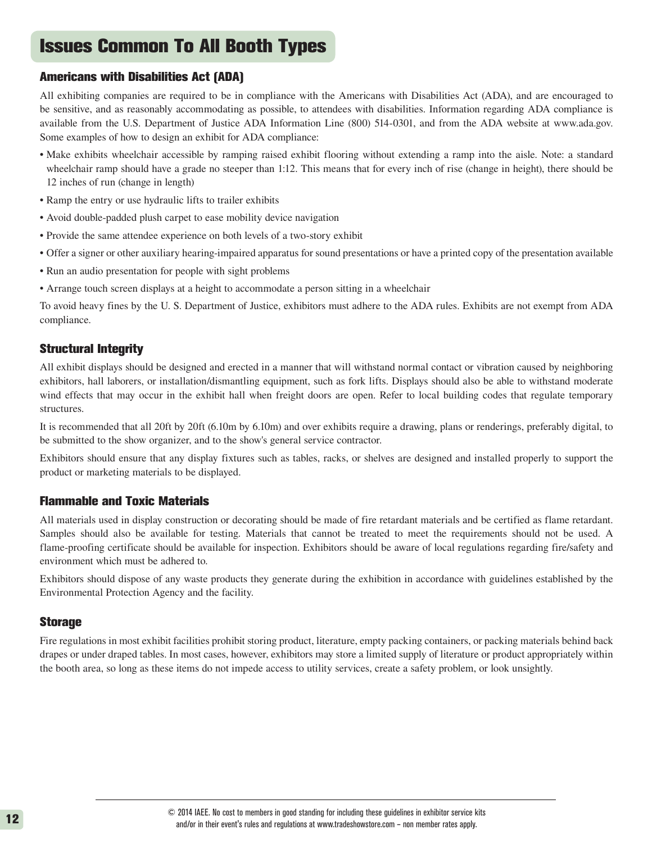## Issues Common To All Booth Types

#### Americans with Disabilities Act (ADA)

All exhibiting companies are required to be in compliance with the Americans with Disabilities Act (ADA), and are encouraged to be sensitive, and as reasonably accommodating as possible, to attendees with disabilities. Information regarding ADA compliance is available from the U.S. Department of Justice ADA Information Line (800) 514-0301, and from the ADA website at www.ada.gov. Some examples of how to design an exhibit for ADA compliance:

- Make exhibits wheelchair accessible by ramping raised exhibit flooring without extending a ramp into the aisle. Note: a standard wheelchair ramp should have a grade no steeper than 1:12. This means that for every inch of rise (change in height), there should be 12 inches of run (change in length)
- Ramp the entry or use hydraulic lifts to trailer exhibits
- Avoid double-padded plush carpet to ease mobility device navigation
- Provide the same attendee experience on both levels of a two-story exhibit
- Offer a signer or other auxiliary hearing-impaired apparatus for sound presentations or have a printed copy of the presentation available
- Run an audio presentation for people with sight problems
- Arrange touch screen displays at a height to accommodate a person sitting in a wheelchair

To avoid heavy fines by the U. S. Department of Justice, exhibitors must adhere to the ADA rules. Exhibits are not exempt from ADA compliance.

#### Structural Integrity

All exhibit displays should be designed and erected in a manner that will withstand normal contact or vibration caused by neighboring exhibitors, hall laborers, or installation/dismantling equipment, such as fork lifts. Displays should also be able to withstand moderate wind effects that may occur in the exhibit hall when freight doors are open. Refer to local building codes that regulate temporary structures.

It is recommended that all 20ft by 20ft (6.10m by 6.10m) and over exhibits require a drawing, plans or renderings, preferably digital, to be submitted to the show organizer, and to the show's general service contractor.

Exhibitors should ensure that any display fixtures such as tables, racks, or shelves are designed and installed properly to support the product or marketing materials to be displayed.

#### Flammable and Toxic Materials

All materials used in display construction or decorating should be made of fire retardant materials and be certified as flame retardant. Samples should also be available for testing. Materials that cannot be treated to meet the requirements should not be used. A flame-proofing certificate should be available for inspection. Exhibitors should be aware of local regulations regarding fire/safety and environment which must be adhered to.

Exhibitors should dispose of any waste products they generate during the exhibition in accordance with guidelines established by the Environmental Protection Agency and the facility.

#### **Storage**

Fire regulations in most exhibit facilities prohibit storing product, literature, empty packing containers, or packing materials behind back drapes or under draped tables. In most cases, however, exhibitors may store a limited supply of literature or product appropriately within the booth area, so long as these items do not impede access to utility services, create a safety problem, or look unsightly.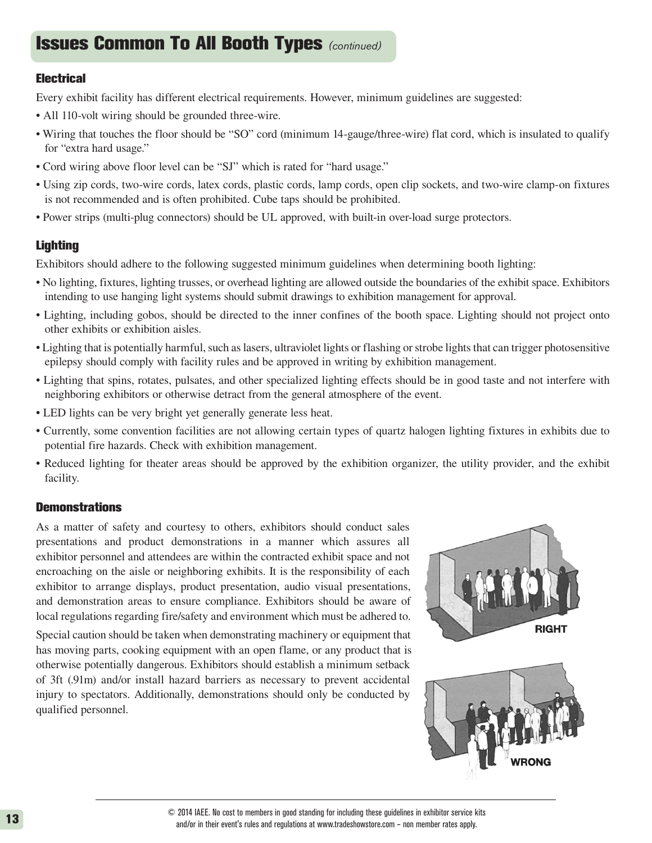### Issues Common To All Booth Types *(continued)*

#### **Electrical**

Every exhibit facility has different electrical requirements. However, minimum guidelines are suggested:

- All 110-volt wiring should be grounded three-wire.
- Wiring that touches the floor should be "SO" cord (minimum 14-gauge/three-wire) flat cord, which is insulated to qualify for "extra hard usage."
- Cord wiring above floor level can be "SJ" which is rated for "hard usage."
- Using zip cords, two-wire cords, latex cords, plastic cords, lamp cords, open clip sockets, and two-wire clamp-on fixtures is not recommended and is often prohibited. Cube taps should be prohibited.
- Power strips (multi-plug connectors) should be UL approved, with built-in over-load surge protectors.

### **Lighting**

Exhibitors should adhere to the following suggested minimum guidelines when determining booth lighting:

- No lighting, fixtures, lighting trusses, or overhead lighting are allowed outside the boundaries of the exhibit space. Exhibitors intending to use hanging light systems should submit drawings to exhibition management for approval.
- Lighting, including gobos, should be directed to the inner confines of the booth space. Lighting should not project onto other exhibits or exhibition aisles.
- Lighting that is potentially harmful, such as lasers, ultraviolet lights or flashing or strobe lights that can trigger photosensitive epilepsy should comply with facility rules and be approved in writing by exhibition management.
- Lighting that spins, rotates, pulsates, and other specialized lighting effects should be in good taste and not interfere with neighboring exhibitors or otherwise detract from the general atmosphere of the event.
- LED lights can be very bright yet generally generate less heat.
- Currently, some convention facilities are not allowing certain types of quartz halogen lighting fixtures in exhibits due to potential fire hazards. Check with exhibition management.
- Reduced lighting for theater areas should be approved by the exhibition organizer, the utility provider, and the exhibit facility.

#### **Demonstrations**

As a matter of safety and courtesy to others, exhibitors should conduct sales presentations and product demonstrations in a manner which assures all exhibitor personnel and attendees are within the contracted exhibit space and not encroaching on the aisle or neighboring exhibits. It is the responsibility of each exhibitor to arrange displays, product presentation, audio visual presentations, and demonstration areas to ensure compliance. Exhibitors should be aware of local regulations regarding fire/safety and environment which must be adhered to.

Special caution should be taken when demonstrating machinery or equipment that has moving parts, cooking equipment with an open flame, or any product that is otherwise potentially dangerous. Exhibitors should establish a minimum setback of 3ft (.91m) and/or install hazard barriers as necessary to prevent accidental injury to spectators. Additionally, demonstrations should only be conducted by qualified personnel.